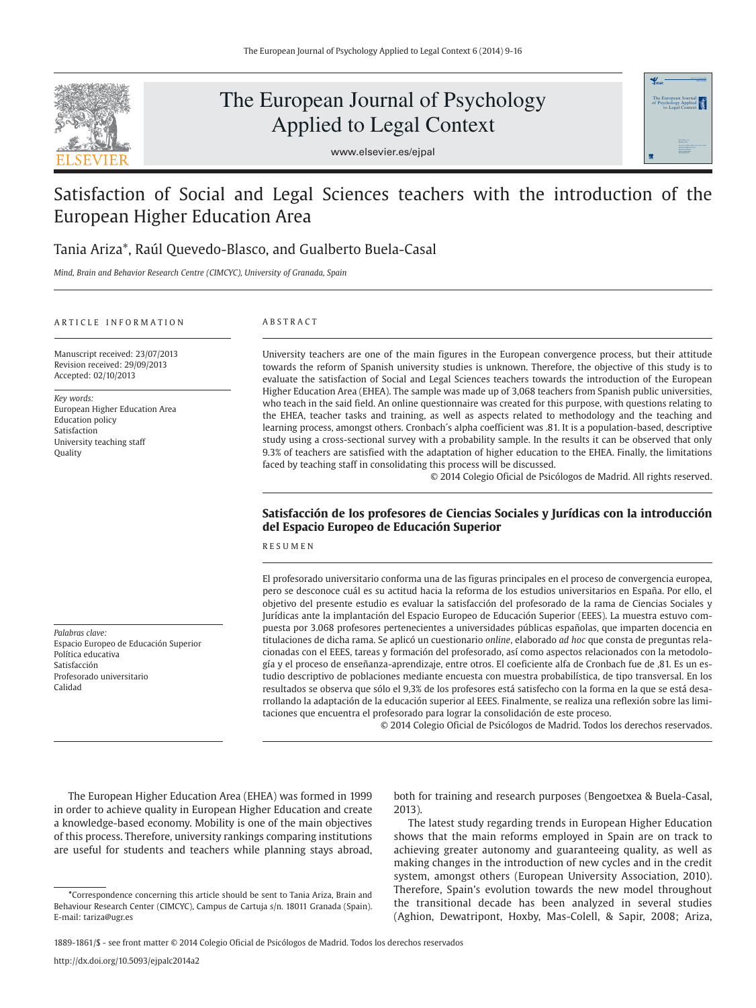

# The European Journal of Psychology Applied to Legal Context



www.elsevier.es/ejpal

# Satisfaction of Social and Legal Sciences teachers with the introduction of the European Higher Education Area

## Tania Ariza\*, Raúl Quevedo-Blasco, and Gualberto Buela-Casal

*Mind, Brain and Behavior Research Centre (CIMCYC), University of Granada, Spain*

#### ARTICLE INFORMATION

Manuscript received: 23/07/2013 Revision received: 29/09/2013 Accepted: 02/10/2013

*Key words:* European Higher Education Area Education policy Satisfaction University teaching staff Quality

*Palabras clave:* 

Calidad

Política educativa Satisfacción

Profesorado universitario

Espacio Europeo de Educación Superior

## ABSTRACT

University teachers are one of the main figures in the European convergence process, but their attitude towards the reform of Spanish university studies is unknown. Therefore, the objective of this study is to evaluate the satisfaction of Social and Legal Sciences teachers towards the introduction of the European Higher Education Area (EHEA). The sample was made up of 3,068 teachers from Spanish public universities, who teach in the said field. An online questionnaire was created for this purpose, with questions relating to the EHEA, teacher tasks and training, as well as aspects related to methodology and the teaching and learning process, amongst others. Cronbach´s alpha coefficient was .81. It is a population-based, descriptive study using a cross-sectional survey with a probability sample. In the results it can be observed that only 9.3% of teachers are satisfied with the adaptation of higher education to the EHEA. Finally, the limitations faced by teaching staff in consolidating this process will be discussed.

© 2014 Colegio Oficial de Psicólogos de Madrid. All rights reserved.

## **Satisfacción de los profesores de Ciencias Sociales y Jurídicas con la introducción del Espacio Europeo de Educación Superior**

RESUMEN

El profesorado universitario conforma una de las figuras principales en el proceso de convergencia europea, pero se desconoce cuál es su actitud hacia la reforma de los estudios universitarios en España. Por ello, el objetivo del presente estudio es evaluar la satisfacción del profesorado de la rama de Ciencias Sociales y Jurídicas ante la implantación del Espacio Europeo de Educación Superior (EEES). La muestra estuvo compuesta por 3.068 profesores pertenecientes a universidades públicas españolas, que imparten docencia en titulaciones de dicha rama. Se aplicó un cuestionario *online*, elaborado *ad hoc* que consta de preguntas relacionadas con el EEES, tareas y formación del profesorado, así como aspectos relacionados con la metodología y el proceso de enseñanza-aprendizaje, entre otros. El coeficiente alfa de Cronbach fue de ,81. Es un estudio descriptivo de poblaciones mediante encuesta con muestra probabilística, de tipo transversal. En los resultados se observa que sólo el 9,3% de los profesores está satisfecho con la forma en la que se está desarrollando la adaptación de la educación superior al EEES. Finalmente, se realiza una reflexión sobre las limitaciones que encuentra el profesorado para lograr la consolidación de este proceso.

© 2014 Colegio Oficial de Psicólogos de Madrid. Todos los derechos reservados.

The European Higher Education Area (EHEA) was formed in 1999 in order to achieve quality in European Higher Education and create a knowledge-based economy. Mobility is one of the main objectives of this process. Therefore, university rankings comparing institutions are useful for students and teachers while planning stays abroad, both for training and research purposes (Bengoetxea & Buela-Casal, 2013).

The latest study regarding trends in European Higher Education shows that the main reforms employed in Spain are on track to achieving greater autonomy and guaranteeing quality, as well as making changes in the introduction of new cycles and in the credit system, amongst others (European University Association, 2010). Therefore, Spain's evolution towards the new model throughout the transitional decade has been analyzed in several studies (Aghion, Dewatripont, Hoxby, Mas-Colell, & Sapir, 2008; Ariza,

1889-1861/\$ - see front matter © 2014 Colegio Oficial de Psicólogos de Madrid. Todos los derechos reservados

**<sup>\*</sup>**Correspondence concerning this article should be sent to Tania Ariza, Brain and Behaviour Research Center (CIMCYC), Campus de Cartuja s/n. 18011 Granada (Spain). E-mail: tariza@ugr.es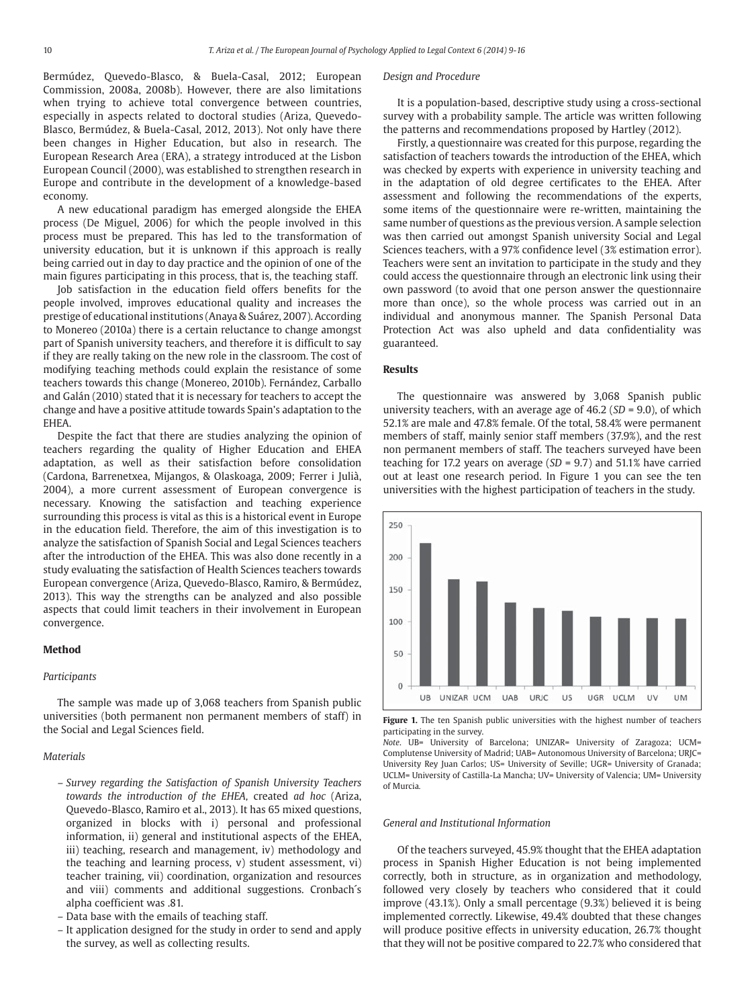Bermúdez, Quevedo-Blasco, & Buela-Casal, 2012; European Commission, 2008a, 2008b). However, there are also limitations when trying to achieve total convergence between countries, especially in aspects related to doctoral studies (Ariza, Quevedo-Blasco, Bermúdez, & Buela-Casal, 2012, 2013). Not only have there been changes in Higher Education, but also in research. The European Research Area (ERA), a strategy introduced at the Lisbon European Council (2000), was established to strengthen research in Europe and contribute in the development of a knowledge-based economy.

A new educational paradigm has emerged alongside the EHEA process (De Miguel, 2006) for which the people involved in this process must be prepared. This has led to the transformation of university education, but it is unknown if this approach is really being carried out in day to day practice and the opinion of one of the main figures participating in this process, that is, the teaching staff.

Job satisfaction in the education field offers benefits for the people involved, improves educational quality and increases the prestige of educational institutions (Anaya & Suárez, 2007). According to Monereo (2010a) there is a certain reluctance to change amongst part of Spanish university teachers, and therefore it is difficult to say if they are really taking on the new role in the classroom. The cost of modifying teaching methods could explain the resistance of some teachers towards this change (Monereo, 2010b). Fernández, Carballo and Galán (2010) stated that it is necessary for teachers to accept the change and have a positive attitude towards Spain's adaptation to the EHEA.

Despite the fact that there are studies analyzing the opinion of teachers regarding the quality of Higher Education and EHEA adaptation, as well as their satisfaction before consolidation (Cardona, Barrenetxea, Mijangos, & Olaskoaga, 2009; Ferrer i Julià, 2004), a more current assessment of European convergence is necessary. Knowing the satisfaction and teaching experience surrounding this process is vital as this is a historical event in Europe in the education field. Therefore, the aim of this investigation is to analyze the satisfaction of Spanish Social and Legal Sciences teachers after the introduction of the EHEA. This was also done recently in a study evaluating the satisfaction of Health Sciences teachers towards European convergence (Ariza, Quevedo-Blasco, Ramiro, & Bermúdez, 2013). This way the strengths can be analyzed and also possible aspects that could limit teachers in their involvement in European convergence.

#### **Method**

#### *Participants*

The sample was made up of 3,068 teachers from Spanish public universities (both permanent non permanent members of staff) in the Social and Legal Sciences field.

## *Materials*

- *Survey regarding the Satisfaction of Spanish University Teachers towards the introduction of the EHEA,* created *ad hoc* (Ariza, Quevedo-Blasco, Ramiro et al., 2013). It has 65 mixed questions, organized in blocks with i) personal and professional information, ii) general and institutional aspects of the EHEA, iii) teaching, research and management, iv) methodology and the teaching and learning process, v) student assessment, vi) teacher training, vii) coordination, organization and resources and viii) comments and additional suggestions. Cronbach´s alpha coefficient was .81.
- Data base with the emails of teaching staff.
- It application designed for the study in order to send and apply the survey, as well as collecting results.

## *Design and Procedure*

It is a population-based, descriptive study using a cross-sectional survey with a probability sample. The article was written following the patterns and recommendations proposed by Hartley (2012).

Firstly, a questionnaire was created for this purpose, regarding the satisfaction of teachers towards the introduction of the EHEA, which was checked by experts with experience in university teaching and in the adaptation of old degree certificates to the EHEA. After assessment and following the recommendations of the experts, some items of the questionnaire were re-written, maintaining the same number of questions as the previous version. A sample selection was then carried out amongst Spanish university Social and Legal Sciences teachers, with a 97% confidence level (3% estimation error). Teachers were sent an invitation to participate in the study and they could access the questionnaire through an electronic link using their own password (to avoid that one person answer the questionnaire more than once), so the whole process was carried out in an individual and anonymous manner. The Spanish Personal Data Protection Act was also upheld and data confidentiality was guaranteed.

#### **Results**

The questionnaire was answered by 3,068 Spanish public university teachers, with an average age of 46.2 (*SD* = 9.0), of which 52.1% are male and 47.8% female. Of the total, 58.4% were permanent members of staff, mainly senior staff members (37.9%), and the rest non permanent members of staff. The teachers surveyed have been teaching for 17.2 years on average (*SD* = 9.7) and 51.1% have carried out at least one research period. In Figure 1 you can see the ten universities with the highest participation of teachers in the study.



Figure 1. The ten Spanish public universities with the highest number of teachers participating in the survey.

*Note*. UB= University of Barcelona; UNIZAR= University of Zaragoza; UCM= Complutense University of Madrid; UAB= Autonomous University of Barcelona; URJC= University Rey Juan Carlos; US= University of Seville; UGR= University of Granada; UCLM= University of Castilla-La Mancha; UV= University of Valencia; UM= University of Murcia*.*

#### *General and Institutional Information*

Of the teachers surveyed, 45.9% thought that the EHEA adaptation process in Spanish Higher Education is not being implemented correctly, both in structure, as in organization and methodology, followed very closely by teachers who considered that it could improve (43.1%). Only a small percentage (9.3%) believed it is being implemented correctly. Likewise, 49.4% doubted that these changes will produce positive effects in university education, 26.7% thought that they will not be positive compared to 22.7% who considered that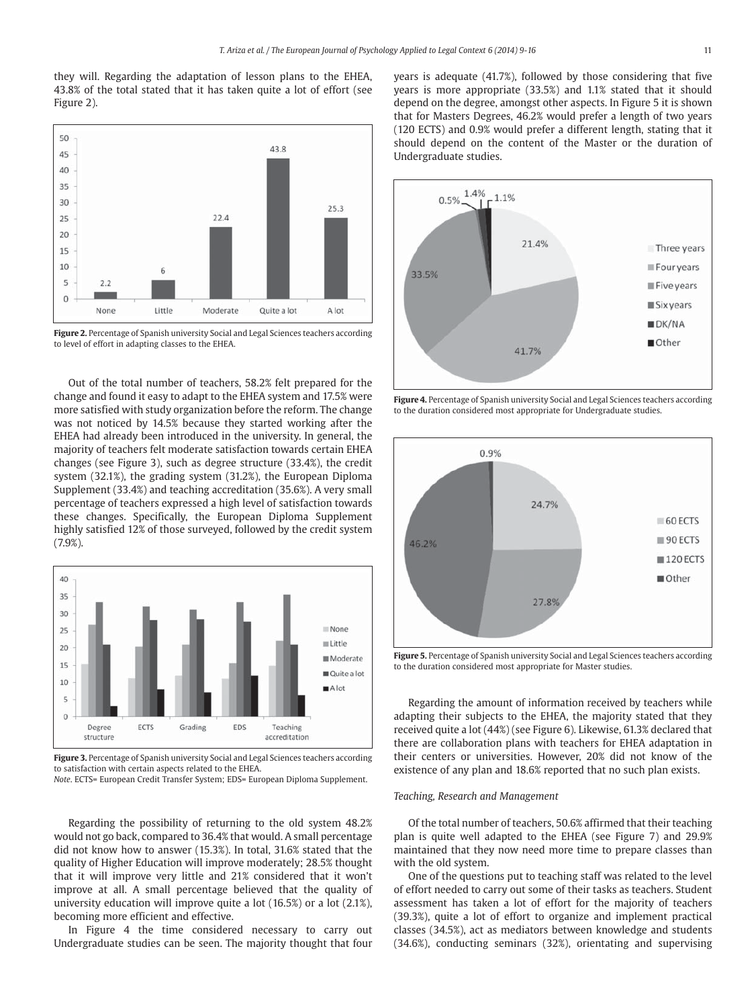they will. Regarding the adaptation of lesson plans to the EHEA, 43.8% of the total stated that it has taken quite a lot of effort (see Figure 2).



**Figure 2.** Percentage of Spanish university Social and Legal Sciences teachers according to level of effort in adapting classes to the EHEA.

Out of the total number of teachers, 58.2% felt prepared for the change and found it easy to adapt to the EHEA system and 17.5% were more satisfied with study organization before the reform. The change was not noticed by 14.5% because they started working after the EHEA had already been introduced in the university. In general, the majority of teachers felt moderate satisfaction towards certain EHEA changes (see Figure 3), such as degree structure (33.4%), the credit system (32.1%), the grading system (31.2%), the European Diploma Supplement (33.4%) and teaching accreditation (35.6%). A very small percentage of teachers expressed a high level of satisfaction towards these changes. Specifically, the European Diploma Supplement highly satisfied 12% of those surveyed, followed by the credit system (7.9%).



**Figure 3.** Percentage of Spanish university Social and Legal Sciences teachers according to satisfaction with certain aspects related to the EHEA.

*Note*. ECTS= European Credit Transfer System; EDS= European Diploma Supplement.

Regarding the possibility of returning to the old system 48.2% would not go back, compared to 36.4% that would. A small percentage did not know how to answer (15.3%). In total, 31.6% stated that the quality of Higher Education will improve moderately; 28.5% thought that it will improve very little and 21% considered that it won't improve at all. A small percentage believed that the quality of university education will improve quite a lot (16.5%) or a lot (2.1%), becoming more efficient and effective.

In Figure 4 the time considered necessary to carry out Undergraduate studies can be seen. The majority thought that four years is adequate (41.7%), followed by those considering that five years is more appropriate (33.5%) and 1.1% stated that it should depend on the degree, amongst other aspects. In Figure 5 it is shown that for Masters Degrees, 46.2% would prefer a length of two years (120 ECTS) and 0.9% would prefer a different length, stating that it should depend on the content of the Master or the duration of Undergraduate studies.



**Figure 4.** Percentage of Spanish university Social and Legal Sciences teachers according to the duration considered most appropriate for Undergraduate studies.



**Figure 5.** Percentage of Spanish university Social and Legal Sciences teachers according to the duration considered most appropriate for Master studies.

Regarding the amount of information received by teachers while adapting their subjects to the EHEA, the majority stated that they received quite a lot (44%) (see Figure 6). Likewise, 61.3% declared that there are collaboration plans with teachers for EHEA adaptation in their centers or universities. However, 20% did not know of the existence of any plan and 18.6% reported that no such plan exists.

## *Teaching, Research and Management*

Of the total number of teachers, 50.6% affirmed that their teaching plan is quite well adapted to the EHEA (see Figure 7) and 29.9% maintained that they now need more time to prepare classes than with the old system.

One of the questions put to teaching staff was related to the level of effort needed to carry out some of their tasks as teachers. Student assessment has taken a lot of effort for the majority of teachers (39.3%), quite a lot of effort to organize and implement practical classes (34.5%), act as mediators between knowledge and students (34.6%), conducting seminars (32%), orientating and supervising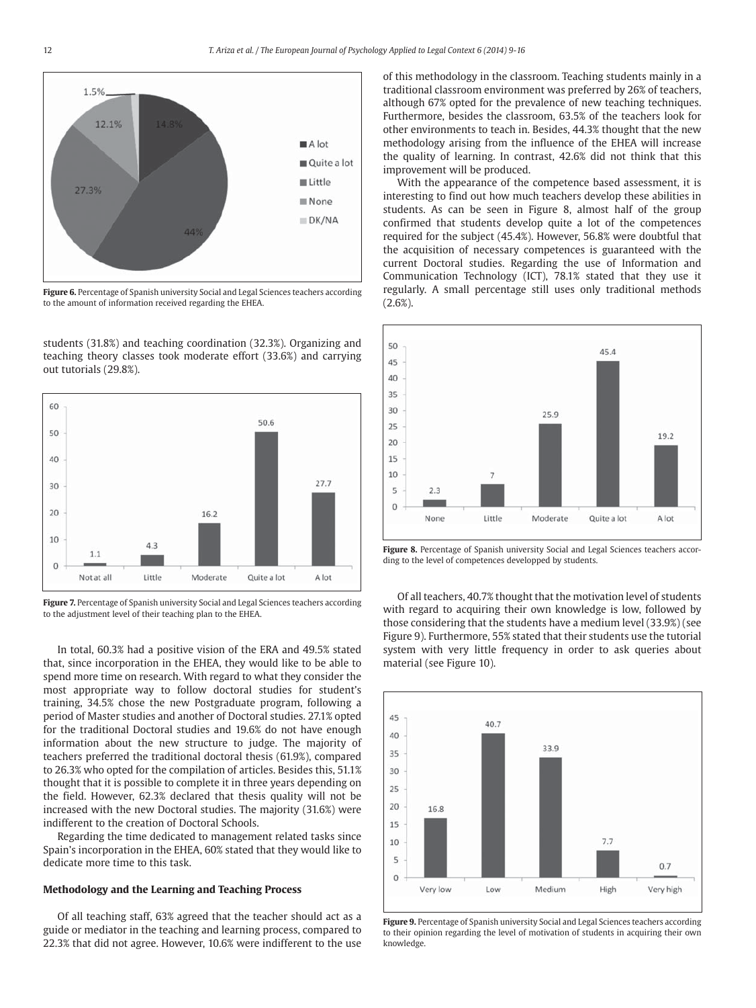

**Figure 6.** Percentage of Spanish university Social and Legal Sciences teachers according to the amount of information received regarding the EHEA.

students (31.8%) and teaching coordination (32.3%). Organizing and teaching theory classes took moderate effort (33.6%) and carrying out tutorials (29.8%).



**Figure 7.** Percentage of Spanish university Social and Legal Sciences teachers according to the adjustment level of their teaching plan to the EHEA.

In total, 60.3% had a positive vision of the ERA and 49.5% stated that, since incorporation in the EHEA, they would like to be able to spend more time on research. With regard to what they consider the most appropriate way to follow doctoral studies for student's training, 34.5% chose the new Postgraduate program, following a period of Master studies and another of Doctoral studies. 27.1% opted for the traditional Doctoral studies and 19.6% do not have enough information about the new structure to judge. The majority of teachers preferred the traditional doctoral thesis (61.9%), compared to 26.3% who opted for the compilation of articles. Besides this, 51.1% thought that it is possible to complete it in three years depending on the field. However, 62.3% declared that thesis quality will not be increased with the new Doctoral studies. The majority (31.6%) were indifferent to the creation of Doctoral Schools.

Regarding the time dedicated to management related tasks since Spain's incorporation in the EHEA, 60% stated that they would like to dedicate more time to this task.

### **Methodology and the Learning and Teaching Process**

Of all teaching staff, 63% agreed that the teacher should act as a guide or mediator in the teaching and learning process, compared to 22.3% that did not agree. However, 10.6% were indifferent to the use of this methodology in the classroom. Teaching students mainly in a traditional classroom environment was preferred by 26% of teachers, although 67% opted for the prevalence of new teaching techniques. Furthermore, besides the classroom, 63.5% of the teachers look for other environments to teach in. Besides, 44.3% thought that the new methodology arising from the influence of the EHEA will increase the quality of learning. In contrast, 42.6% did not think that this improvement will be produced.

With the appearance of the competence based assessment, it is interesting to find out how much teachers develop these abilities in students. As can be seen in Figure 8, almost half of the group confirmed that students develop quite a lot of the competences required for the subject (45.4%). However, 56.8% were doubtful that the acquisition of necessary competences is guaranteed with the current Doctoral studies. Regarding the use of Information and Communication Technology (ICT), 78.1% stated that they use it regularly. A small percentage still uses only traditional methods (2.6%).



Figure 8. Percentage of Spanish university Social and Legal Sciences teachers according to the level of competences developped by students.

Of all teachers, 40.7% thought that the motivation level of students with regard to acquiring their own knowledge is low, followed by those considering that the students have a medium level (33.9%) (see Figure 9). Furthermore, 55% stated that their students use the tutorial system with very little frequency in order to ask queries about material (see Figure 10).



**Figure 9.** Percentage of Spanish university Social and Legal Sciences teachers according to their opinion regarding the level of motivation of students in acquiring their own knowledge.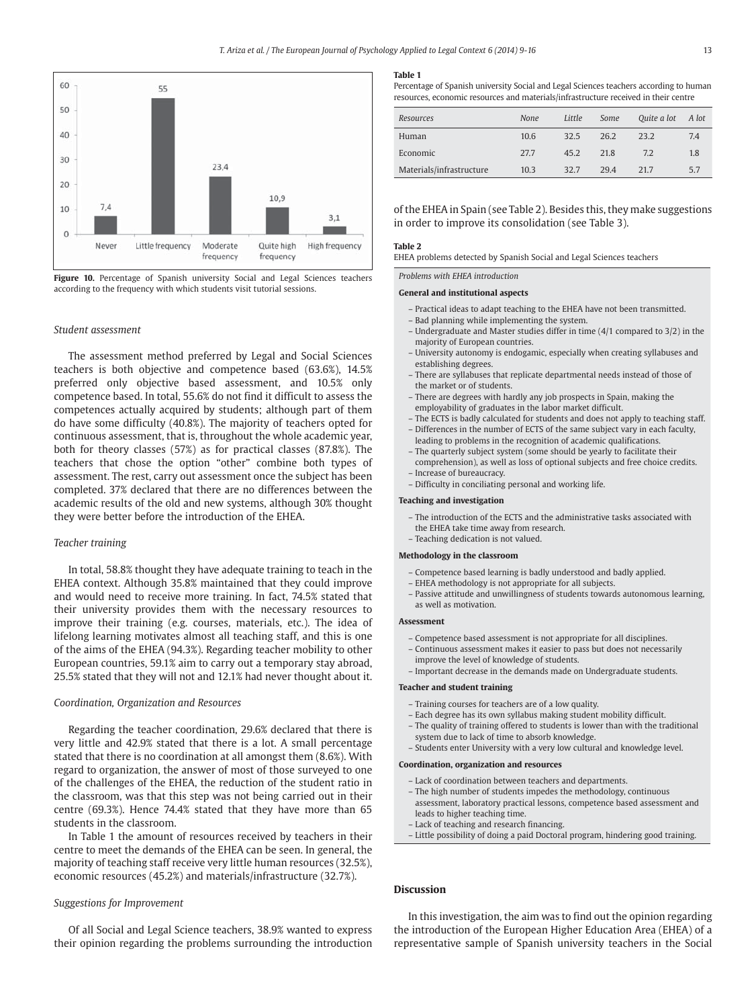

Figure 10. Percentage of Spanish university Social and Legal Sciences teachers according to the frequency with which students visit tutorial sessions.

#### *Student assessment*

The assessment method preferred by Legal and Social Sciences teachers is both objective and competence based (63.6%), 14.5% preferred only objective based assessment, and 10.5% only competence based. In total, 55.6% do not find it difficult to assess the competences actually acquired by students; although part of them do have some difficulty (40.8%). The majority of teachers opted for continuous assessment, that is, throughout the whole academic year, both for theory classes (57%) as for practical classes (87.8%). The teachers that chose the option "other" combine both types of assessment. The rest, carry out assessment once the subject has been completed. 37% declared that there are no differences between the academic results of the old and new systems, although 30% thought they were better before the introduction of the EHEA.

### *Teacher training*

In total, 58.8% thought they have adequate training to teach in the EHEA context. Although 35.8% maintained that they could improve and would need to receive more training. In fact, 74.5% stated that their university provides them with the necessary resources to improve their training (e.g. courses, materials, etc.). The idea of lifelong learning motivates almost all teaching staff, and this is one of the aims of the EHEA (94.3%). Regarding teacher mobility to other European countries, 59.1% aim to carry out a temporary stay abroad, 25.5% stated that they will not and 12.1% had never thought about it.

#### *Coordination, Organization and Resources*

Regarding the teacher coordination, 29.6% declared that there is very little and 42.9% stated that there is a lot. A small percentage stated that there is no coordination at all amongst them (8.6%). With regard to organization, the answer of most of those surveyed to one of the challenges of the EHEA, the reduction of the student ratio in the classroom, was that this step was not being carried out in their centre (69.3%). Hence 74.4% stated that they have more than 65 students in the classroom.

In Table 1 the amount of resources received by teachers in their centre to meet the demands of the EHEA can be seen. In general, the majority of teaching staff receive very little human resources (32.5%), economic resources (45.2%) and materials/infrastructure (32.7%).

## *Suggestions for Improvement*

Of all Social and Legal Science teachers, 38.9% wanted to express their opinion regarding the problems surrounding the introduction

#### **Table 1**

Percentage of Spanish university Social and Legal Sciences teachers according to human resources, economic resources and materials/infrastructure received in their centre

| Resources                | None | Little | Some | Quite a lot | A lot |
|--------------------------|------|--------|------|-------------|-------|
| Human                    | 10.6 | 32.5   | 26.2 | 23.2        | 7.4   |
| Economic                 | 27.7 | 45.2   | 21.8 | 7.2         | 1.8   |
| Materials/infrastructure | 10.3 | 32.7   | 294  | 21.7        | 5.7   |

of the EHEA in Spain (see Table 2). Besides this, they make suggestions in order to improve its consolidation (see Table 3).

#### **Table 2**

EHEA problems detected by Spanish Social and Legal Sciences teachers

*Problems with EHEA introduction*

#### **General and institutional aspects**

- Practical ideas to adapt teaching to the EHEA have not been transmitted.
- Bad planning while implementing the system.
- Undergraduate and Master studies differ in time (4/1 compared to 3/2) in the majority of European countries.
- University autonomy is endogamic, especially when creating syllabuses and establishing degrees.
- There are syllabuses that replicate departmental needs instead of those of the market or of students.
- There are degrees with hardly any job prospects in Spain, making the employability of graduates in the labor market difficult.
- The ECTS is badly calculated for students and does not apply to teaching staff. – Differences in the number of ECTS of the same subject vary in each faculty,
- leading to problems in the recognition of academic qualifications. – The quarterly subject system (some should be yearly to facilitate their
- comprehension), as well as loss of optional subjects and free choice credits. – Increase of bureaucracy.
- Difficulty in conciliating personal and working life.

#### **Teaching and investigation**

- The introduction of the ECTS and the administrative tasks associated with the EHEA take time away from research.
- Teaching dedication is not valued.

#### **Methodology in the classroom**

- Competence based learning is badly understood and badly applied.
- EHEA methodology is not appropriate for all subjects.
- Passive attitude and unwillingness of students towards autonomous learning, as well as motivation.

#### **Assessment**

- Competence based assessment is not appropriate for all disciplines.
- Continuous assessment makes it easier to pass but does not necessarily improve the level of knowledge of students.
- Important decrease in the demands made on Undergraduate students.

#### **Teacher and student training**

- Training courses for teachers are of a low quality.
- Each degree has its own syllabus making student mobility difficult.
- The quality of training offered to students is lower than with the traditional system due to lack of time to absorb knowledge.
- Students enter University with a very low cultural and knowledge level.

## **Coordination, organization and resources**

- Lack of coordination between teachers and departments.
- The high number of students impedes the methodology, continuous assessment, laboratory practical lessons, competence based assessment and leads to higher teaching time.
- Lack of teaching and research financing.
- Little possibility of doing a paid Doctoral program, hindering good training.

### **Discussion**

In this investigation, the aim was to find out the opinion regarding the introduction of the European Higher Education Area (EHEA) of a representative sample of Spanish university teachers in the Social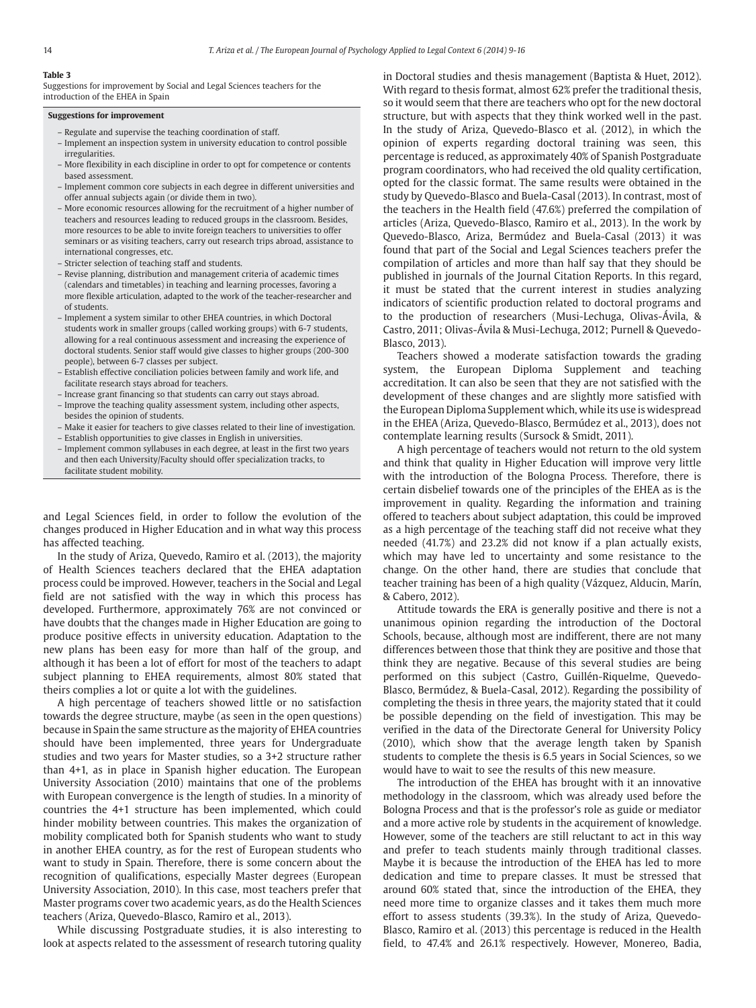## **Table 3**

Suggestions for improvement by Social and Legal Sciences teachers for the introduction of the EHEA in Spain

#### **Suggestions for improvement**

- Regulate and supervise the teaching coordination of staff.
- Implement an inspection system in university education to control possible irregularities.
- More flexibility in each discipline in order to opt for competence or contents based assessment.
- Implement common core subjects in each degree in different universities and offer annual subjects again (or divide them in two).
- More economic resources allowing for the recruitment of a higher number of teachers and resources leading to reduced groups in the classroom. Besides, more resources to be able to invite foreign teachers to universities to offer seminars or as visiting teachers, carry out research trips abroad, assistance to international congresses, etc.
- Stricter selection of teaching staff and students.
- Revise planning, distribution and management criteria of academic times (calendars and timetables) in teaching and learning processes, favoring a more flexible articulation, adapted to the work of the teacher-researcher and of students.
- Implement a system similar to other EHEA countries, in which Doctoral students work in smaller groups (called working groups) with 6-7 students, allowing for a real continuous assessment and increasing the experience of doctoral students. Senior staff would give classes to higher groups (200-300 people), between 6-7 classes per subject.
- Establish effective conciliation policies between family and work life, and facilitate research stays abroad for teachers.
- Increase grant financing so that students can carry out stays abroad.
- Improve the teaching quality assessment system, including other aspects, besides the opinion of students.
- Make it easier for teachers to give classes related to their line of investigation.
- Establish opportunities to give classes in English in universities.
- Implement common syllabuses in each degree, at least in the first two years and then each University/Faculty should offer specialization tracks, to facilitate student mobility.

and Legal Sciences field, in order to follow the evolution of the changes produced in Higher Education and in what way this process has affected teaching.

In the study of Ariza, Quevedo, Ramiro et al. (2013), the majority of Health Sciences teachers declared that the EHEA adaptation process could be improved. However, teachers in the Social and Legal field are not satisfied with the way in which this process has developed. Furthermore, approximately 76% are not convinced or have doubts that the changes made in Higher Education are going to produce positive effects in university education. Adaptation to the new plans has been easy for more than half of the group, and although it has been a lot of effort for most of the teachers to adapt subject planning to EHEA requirements, almost 80% stated that theirs complies a lot or quite a lot with the guidelines.

A high percentage of teachers showed little or no satisfaction towards the degree structure, maybe (as seen in the open questions) because in Spain the same structure as the majority of EHEA countries should have been implemented, three years for Undergraduate studies and two years for Master studies, so a 3+2 structure rather than 4+1, as in place in Spanish higher education. The European University Association (2010) maintains that one of the problems with European convergence is the length of studies. In a minority of countries the 4+1 structure has been implemented, which could hinder mobility between countries. This makes the organization of mobility complicated both for Spanish students who want to study in another EHEA country, as for the rest of European students who want to study in Spain. Therefore, there is some concern about the recognition of qualifications, especially Master degrees (European University Association, 2010). In this case, most teachers prefer that Master programs cover two academic years, as do the Health Sciences teachers (Ariza, Quevedo-Blasco, Ramiro et al., 2013).

While discussing Postgraduate studies, it is also interesting to look at aspects related to the assessment of research tutoring quality in Doctoral studies and thesis management (Baptista & Huet, 2012). With regard to thesis format, almost 62% prefer the traditional thesis, so it would seem that there are teachers who opt for the new doctoral structure, but with aspects that they think worked well in the past. In the study of Ariza, Quevedo-Blasco et al. (2012), in which the opinion of experts regarding doctoral training was seen, this percentage is reduced, as approximately 40% of Spanish Postgraduate program coordinators, who had received the old quality certification, opted for the classic format. The same results were obtained in the study by Quevedo-Blasco and Buela-Casal (2013). In contrast, most of the teachers in the Health field (47.6%) preferred the compilation of articles (Ariza, Quevedo-Blasco, Ramiro et al., 2013). In the work by Quevedo-Blasco, Ariza, Bermúdez and Buela-Casal (2013) it was found that part of the Social and Legal Sciences teachers prefer the compilation of articles and more than half say that they should be published in journals of the Journal Citation Reports. In this regard, it must be stated that the current interest in studies analyzing indicators of scientific production related to doctoral programs and to the production of researchers (Musi-Lechuga, Olivas-Ávila, & Castro, 2011; Olivas-Ávila & Musi-Lechuga, 2012; Purnell & Quevedo-Blasco, 2013).

Teachers showed a moderate satisfaction towards the grading system, the European Diploma Supplement and teaching accreditation. It can also be seen that they are not satisfied with the development of these changes and are slightly more satisfied with the European Diploma Supplement which, while its use is widespread in the EHEA (Ariza, Quevedo-Blasco, Bermúdez et al., 2013), does not contemplate learning results (Sursock & Smidt, 2011).

A high percentage of teachers would not return to the old system and think that quality in Higher Education will improve very little with the introduction of the Bologna Process. Therefore, there is certain disbelief towards one of the principles of the EHEA as is the improvement in quality. Regarding the information and training offered to teachers about subject adaptation, this could be improved as a high percentage of the teaching staff did not receive what they needed (41.7%) and 23.2% did not know if a plan actually exists, which may have led to uncertainty and some resistance to the change. On the other hand, there are studies that conclude that teacher training has been of a high quality (Vázquez, Alducin, Marín, & Cabero, 2012).

Attitude towards the ERA is generally positive and there is not a unanimous opinion regarding the introduction of the Doctoral Schools, because, although most are indifferent, there are not many differences between those that think they are positive and those that think they are negative. Because of this several studies are being performed on this subject (Castro, Guillén-Riquelme, Quevedo-Blasco, Bermúdez, & Buela-Casal, 2012). Regarding the possibility of completing the thesis in three years, the majority stated that it could be possible depending on the field of investigation. This may be verified in the data of the Directorate General for University Policy (2010), which show that the average length taken by Spanish students to complete the thesis is 6.5 years in Social Sciences, so we would have to wait to see the results of this new measure.

The introduction of the EHEA has brought with it an innovative methodology in the classroom, which was already used before the Bologna Process and that is the professor's role as guide or mediator and a more active role by students in the acquirement of knowledge. However, some of the teachers are still reluctant to act in this way and prefer to teach students mainly through traditional classes. Maybe it is because the introduction of the EHEA has led to more dedication and time to prepare classes. It must be stressed that around 60% stated that, since the introduction of the EHEA, they need more time to organize classes and it takes them much more effort to assess students (39.3%). In the study of Ariza, Quevedo-Blasco, Ramiro et al. (2013) this percentage is reduced in the Health field, to 47.4% and 26.1% respectively. However, Monereo, Badia,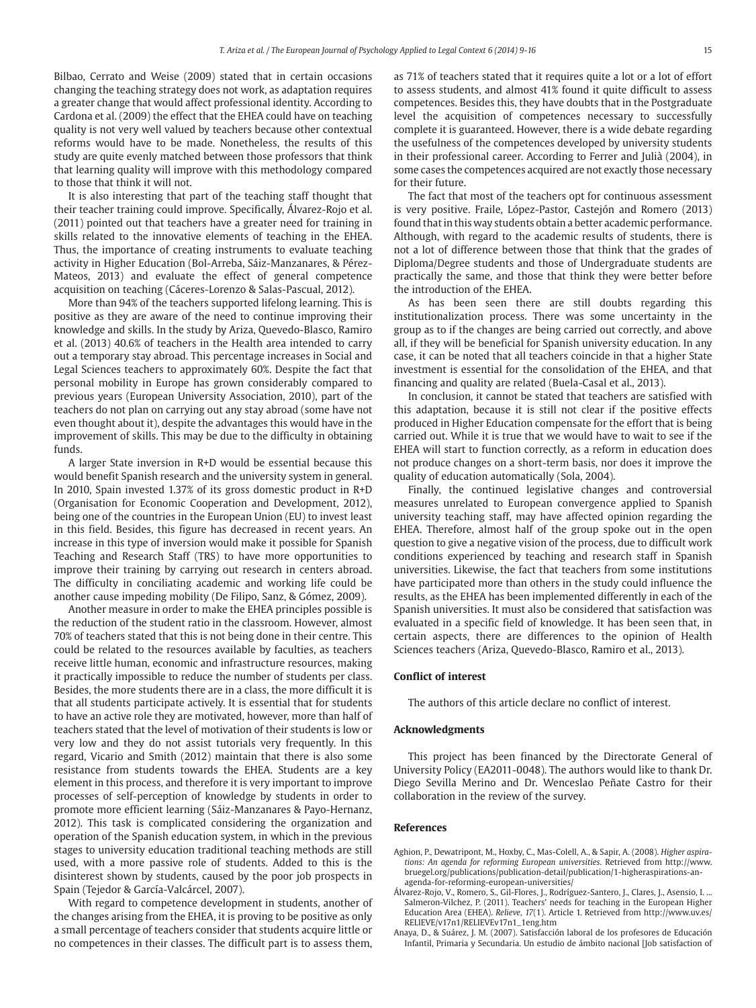Bilbao, Cerrato and Weise (2009) stated that in certain occasions changing the teaching strategy does not work, as adaptation requires a greater change that would affect professional identity. According to Cardona et al. (2009) the effect that the EHEA could have on teaching quality is not very well valued by teachers because other contextual reforms would have to be made. Nonetheless, the results of this study are quite evenly matched between those professors that think that learning quality will improve with this methodology compared to those that think it will not.

It is also interesting that part of the teaching staff thought that their teacher training could improve. Specifically, Álvarez-Rojo et al. (2011) pointed out that teachers have a greater need for training in skills related to the innovative elements of teaching in the EHEA. Thus, the importance of creating instruments to evaluate teaching activity in Higher Education (Bol-Arreba, Sáiz-Manzanares, & Pérez-Mateos, 2013) and evaluate the effect of general competence acquisition on teaching (Cáceres-Lorenzo & Salas-Pascual, 2012).

More than 94% of the teachers supported lifelong learning. This is positive as they are aware of the need to continue improving their knowledge and skills. In the study by Ariza, Quevedo-Blasco, Ramiro et al. (2013) 40.6% of teachers in the Health area intended to carry out a temporary stay abroad. This percentage increases in Social and Legal Sciences teachers to approximately 60%. Despite the fact that personal mobility in Europe has grown considerably compared to previous years (European University Association, 2010), part of the teachers do not plan on carrying out any stay abroad (some have not even thought about it), despite the advantages this would have in the improvement of skills. This may be due to the difficulty in obtaining funds.

A larger State inversion in R+D would be essential because this would benefit Spanish research and the university system in general. In 2010, Spain invested 1.37% of its gross domestic product in R+D (Organisation for Economic Cooperation and Development, 2012), being one of the countries in the European Union (EU) to invest least in this field. Besides, this figure has decreased in recent years. An increase in this type of inversion would make it possible for Spanish Teaching and Research Staff (TRS) to have more opportunities to improve their training by carrying out research in centers abroad. The difficulty in conciliating academic and working life could be another cause impeding mobility (De Filipo, Sanz, & Gómez, 2009).

Another measure in order to make the EHEA principles possible is the reduction of the student ratio in the classroom. However, almost 70% of teachers stated that this is not being done in their centre. This could be related to the resources available by faculties, as teachers receive little human, economic and infrastructure resources, making it practically impossible to reduce the number of students per class. Besides, the more students there are in a class, the more difficult it is that all students participate actively. It is essential that for students to have an active role they are motivated, however, more than half of teachers stated that the level of motivation of their students is low or very low and they do not assist tutorials very frequently. In this regard, Vicario and Smith (2012) maintain that there is also some resistance from students towards the EHEA. Students are a key element in this process, and therefore it is very important to improve processes of self-perception of knowledge by students in order to promote more efficient learning (Sáiz-Manzanares & Payo-Hernanz, 2012). This task is complicated considering the organization and operation of the Spanish education system, in which in the previous stages to university education traditional teaching methods are still used, with a more passive role of students. Added to this is the disinterest shown by students, caused by the poor job prospects in Spain (Tejedor & García-Valcárcel, 2007).

With regard to competence development in students, another of the changes arising from the EHEA, it is proving to be positive as only a small percentage of teachers consider that students acquire little or no competences in their classes. The difficult part is to assess them, as 71% of teachers stated that it requires quite a lot or a lot of effort to assess students, and almost 41% found it quite difficult to assess competences. Besides this, they have doubts that in the Postgraduate level the acquisition of competences necessary to successfully complete it is guaranteed. However, there is a wide debate regarding the usefulness of the competences developed by university students in their professional career. According to Ferrer and Julià (2004), in some cases the competences acquired are not exactly those necessary for their future.

The fact that most of the teachers opt for continuous assessment is very positive. Fraile, López-Pastor, Castejón and Romero (2013) found that in this way students obtain a better academic performance. Although, with regard to the academic results of students, there is not a lot of difference between those that think that the grades of Diploma/Degree students and those of Undergraduate students are practically the same, and those that think they were better before the introduction of the EHEA.

As has been seen there are still doubts regarding this institutionalization process. There was some uncertainty in the group as to if the changes are being carried out correctly, and above all, if they will be beneficial for Spanish university education. In any case, it can be noted that all teachers coincide in that a higher State investment is essential for the consolidation of the EHEA, and that financing and quality are related (Buela-Casal et al., 2013).

In conclusion, it cannot be stated that teachers are satisfied with this adaptation, because it is still not clear if the positive effects produced in Higher Education compensate for the effort that is being carried out. While it is true that we would have to wait to see if the EHEA will start to function correctly, as a reform in education does not produce changes on a short-term basis, nor does it improve the quality of education automatically (Sola, 2004).

Finally, the continued legislative changes and controversial measures unrelated to European convergence applied to Spanish university teaching staff, may have affected opinion regarding the EHEA. Therefore, almost half of the group spoke out in the open question to give a negative vision of the process, due to difficult work conditions experienced by teaching and research staff in Spanish universities. Likewise, the fact that teachers from some institutions have participated more than others in the study could influence the results, as the EHEA has been implemented differently in each of the Spanish universities. It must also be considered that satisfaction was evaluated in a specific field of knowledge. It has been seen that, in certain aspects, there are differences to the opinion of Health Sciences teachers (Ariza, Quevedo-Blasco, Ramiro et al., 2013).

## **Conflict of interest**

The authors of this article declare no conflict of interest.

#### **Acknowledgments**

This project has been financed by the Directorate General of University Policy (EA2011-0048). The authors would like to thank Dr. Diego Sevilla Merino and Dr. Wenceslao Peñate Castro for their collaboration in the review of the survey.

#### **References**

- Aghion, P., Dewatripont, M., Hoxby, C., Mas-Colell, A., & Sapir, A. (2008). *Higher aspirations: An agenda for reforming European universities*. Retrieved from http://www. bruegel.org/publications/publication-detail/publication/1-higheraspirations-anagenda-for-reforming-european-universities/
- Álvarez-Rojo, V., Romero, S., Gil-Flores, J., Rodríguez-Santero, J., Clares, J., Asensio, I. ... Salmeron-Vilchez, P. (2011). Teachers' needs for teaching in the European Higher Education Area (EHEA). *Relieve, 17*(1). Article 1. Retrieved from http://www.uv.es/ RELIEVE/v17n1/RELIEVEv17n1\_1eng.htm
- Anaya, D., & Suárez, J. M. (2007). Satisfacción laboral de los profesores de Educación Infantil, Primaria y Secundaria. Un estudio de ámbito nacional [Job satisfaction of